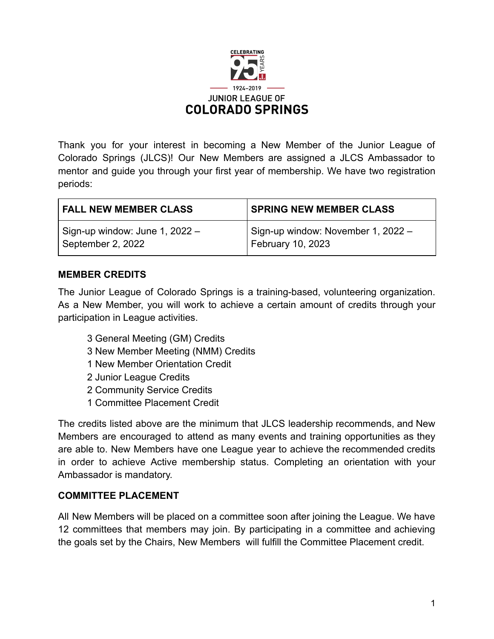

Thank you for your interest in becoming a New Member of the Junior League of Colorado Springs (JLCS)! Our New Members are assigned a JLCS Ambassador to mentor and guide you through your first year of membership. We have two registration periods:

| <b>FALL NEW MEMBER CLASS</b>     | <b>SPRING NEW MEMBER CLASS</b>     |
|----------------------------------|------------------------------------|
| Sign-up window: June 1, $2022 -$ | Sign-up window: November 1, 2022 - |
| September 2, 2022                | February 10, 2023                  |

## **MEMBER CREDITS**

The Junior League of Colorado Springs is a training-based, volunteering organization. As a New Member, you will work to achieve a certain amount of credits through your participation in League activities.

- 3 General Meeting (GM) Credits
- 3 New Member Meeting (NMM) Credits
- 1 New Member Orientation Credit
- 2 Junior League Credits
- 2 Community Service Credits
- 1 Committee Placement Credit

The credits listed above are the minimum that JLCS leadership recommends, and New Members are encouraged to attend as many events and training opportunities as they are able to. New Members have one League year to achieve the recommended credits in order to achieve Active membership status. Completing an orientation with your Ambassador is mandatory.

## **COMMITTEE PLACEMENT**

All New Members will be placed on a committee soon after joining the League. We have 12 committees that members may join. By participating in a committee and achieving the goals set by the Chairs, New Members will fulfill the Committee Placement credit.